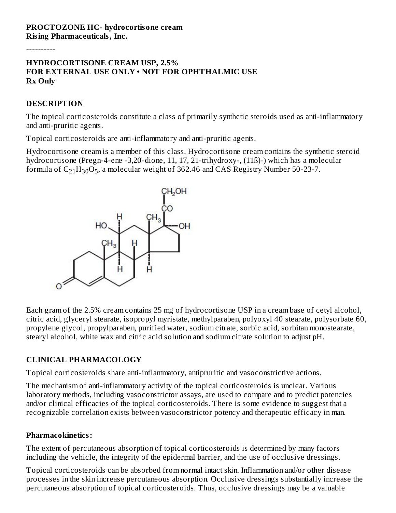#### **PROCTOZONE HC- hydrocortisone cream Rising Pharmaceuticals, Inc.**

----------

#### **HYDROCORTISONE CREAM USP, 2.5% FOR EXTERNAL USE ONLY • NOT FOR OPHTHALMIC USE Rx Only**

#### **DESCRIPTION**

The topical corticosteroids constitute a class of primarily synthetic steroids used as anti-inflammatory and anti-pruritic agents.

Topical corticosteroids are anti-inflammatory and anti-pruritic agents.

Hydrocortisone cream is a member of this class. Hydrocortisone cream contains the synthetic steroid hydrocortisone (Pregn-4-ene -3,20-dione, 11, 17, 21-trihydroxy-, (11ß)-) which has a molecular formula of  $\rm{C_{21}H_{30}O_5}$ , a molecular weight of 362.46 and CAS Registry Number 50-23-7.



Each gram of the 2.5% cream contains 25 mg of hydrocortisone USP in a cream base of cetyl alcohol, citric acid, glyceryl stearate, isopropyl myristate, methylparaben, polyoxyl 40 stearate, polysorbate 60, propylene glycol, propylparaben, purified water, sodium citrate, sorbic acid, sorbitan monostearate, stearyl alcohol, white wax and citric acid solution and sodium citrate solution to adjust pH.

#### **CLINICAL PHARMACOLOGY**

Topical corticosteroids share anti-inflammatory, antipruritic and vasoconstrictive actions.

The mechanism of anti-inflammatory activity of the topical corticosteroids is unclear. Various laboratory methods, including vasoconstrictor assays, are used to compare and to predict potencies and/or clinical efficacies of the topical corticosteroids. There is some evidence to suggest that a recognizable correlation exists between vasoconstrictor potency and therapeutic efficacy in man.

#### **Pharmacokinetics:**

The extent of percutaneous absorption of topical corticosteroids is determined by many factors including the vehicle, the integrity of the epidermal barrier, and the use of occlusive dressings.

Topical corticosteroids can be absorbed from normal intact skin. Inflammation and/or other disease processes in the skin increase percutaneous absorption. Occlusive dressings substantially increase the percutaneous absorption of topical corticosteroids. Thus, occlusive dressings may be a valuable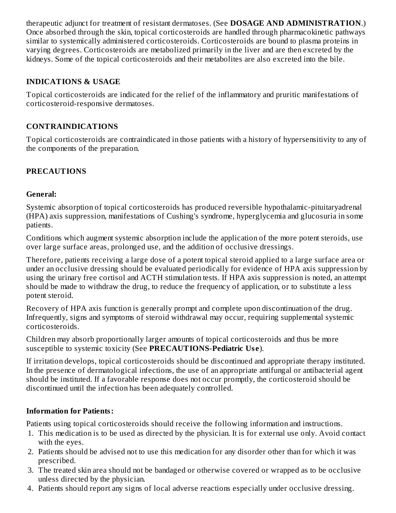therapeutic adjunct for treatment of resistant dermatoses. (See **DOSAGE AND ADMINISTRATION**.) Once absorbed through the skin, topical corticosteroids are handled through pharmacokinetic pathways similar to systemically administered corticosteroids. Corticosteroids are bound to plasma proteins in varying degrees. Corticosteroids are metabolized primarily in the liver and are then excreted by the kidneys. Some of the topical corticosteroids and their metabolites are also excreted into the bile.

### **INDICATIONS & USAGE**

Topical corticosteroids are indicated for the relief of the inflammatory and pruritic manifestations of corticosteroid-responsive dermatoses.

# **CONTRAINDICATIONS**

Topical corticosteroids are contraindicated in those patients with a history of hypersensitivity to any of the components of the preparation.

# **PRECAUTIONS**

#### **General:**

Systemic absorption of topical corticosteroids has produced reversible hypothalamic-pituitaryadrenal (HPA) axis suppression, manifestations of Cushing's syndrome, hyperglycemia and glucosuria in some patients.

Conditions which augment systemic absorption include the application of the more potent steroids, use over large surface areas, prolonged use, and the addition of occlusive dressings.

Therefore, patients receiving a large dose of a potent topical steroid applied to a large surface area or under an occlusive dressing should be evaluated periodically for evidence of HPA axis suppression by using the urinary free cortisol and ACTH stimulation tests. If HPA axis suppression is noted, an attempt should be made to withdraw the drug, to reduce the frequency of application, or to substitute a less potent steroid.

Recovery of HPA axis function is generally prompt and complete upon discontinuation of the drug. Infrequently, signs and symptoms of steroid withdrawal may occur, requiring supplemental systemic corticosteroids.

Children may absorb proportionally larger amounts of topical corticosteroids and thus be more susceptible to systemic toxicity (See **PRECAUTIONS-Pediatric Us e**).

If irritation develops, topical corticosteroids should be discontinued and appropriate therapy instituted. In the presence of dermatological infections, the use of an appropriate antifungal or antibacterial agent should be instituted. If a favorable response does not occur promptly, the corticosteroid should be discontinued until the infection has been adequately controlled.

# **Information for Patients:**

Patients using topical corticosteroids should receive the following information and instructions.

- 1. This medication is to be used as directed by the physician. It is for external use only. Avoid contact with the eyes.
- 2. Patients should be advised not to use this medication for any disorder other than for which it was prescribed.
- 3. The treated skin area should not be bandaged or otherwise covered or wrapped as to be occlusive unless directed by the physician.
- 4. Patients should report any signs of local adverse reactions especially under occlusive dressing.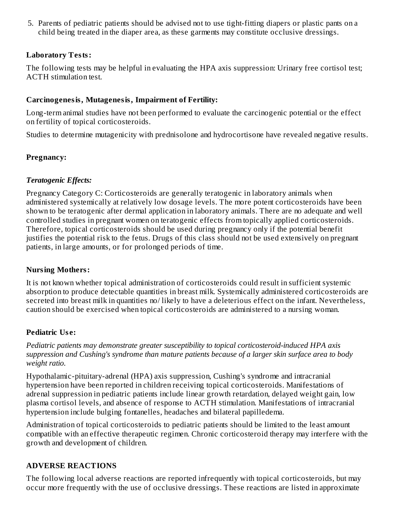5. Parents of pediatric patients should be advised not to use tight-fitting diapers or plastic pants on a child being treated in the diaper area, as these garments may constitute occlusive dressings.

#### **Laboratory Tests:**

The following tests may be helpful in evaluating the HPA axis suppression: Urinary free cortisol test; ACTH stimulation test.

#### **Carcinogenesis, Mutagenesis, Impairment of Fertility:**

Long-term animal studies have not been performed to evaluate the carcinogenic potential or the effect on fertility of topical corticosteroids.

Studies to determine mutagenicity with prednisolone and hydrocortisone have revealed negative results.

#### **Pregnancy:**

#### *Teratogenic Effects:*

Pregnancy Category C: Corticosteroids are generally teratogenic in laboratory animals when administered systemically at relatively low dosage levels. The more potent corticosteroids have been shown to be teratogenic after dermal application in laboratory animals. There are no adequate and well controlled studies in pregnant women on teratogenic effects from topically applied corticosteroids. Therefore, topical corticosteroids should be used during pregnancy only if the potential benefit justifies the potential risk to the fetus. Drugs of this class should not be used extensively on pregnant patients, in large amounts, or for prolonged periods of time.

#### **Nursing Mothers:**

It is not known whether topical administration of corticosteroids could result in sufficient systemic absorption to produce detectable quantities in breast milk. Systemically administered corticosteroids are secreted into breast milk in quantities no/ likely to have a deleterious effect on the infant. Nevertheless, caution should be exercised when topical corticosteroids are administered to a nursing woman.

#### **Pediatric Us e:**

*Pediatric patients may demonstrate greater susceptibility to topical corticosteroid-induced HPA axis suppression and Cushing's syndrome than mature patients because of a larger skin surface area to body weight ratio.*

Hypothalamic-pituitary-adrenal (HPA) axis suppression, Cushing's syndrome and intracranial hypertension have been reported in children receiving topical corticosteroids. Manifestations of adrenal suppression in pediatric patients include linear growth retardation, delayed weight gain, low plasma cortisol levels, and absence of response to ACTH stimulation. Manifestations of intracranial hypertension include bulging fontanelles, headaches and bilateral papilledema.

Administration of topical corticosteroids to pediatric patients should be limited to the least amount compatible with an effective therapeutic regimen. Chronic corticosteroid therapy may interfere with the growth and development of children.

#### **ADVERSE REACTIONS**

The following local adverse reactions are reported infrequently with topical corticosteroids, but may occur more frequently with the use of occlusive dressings. These reactions are listed in approximate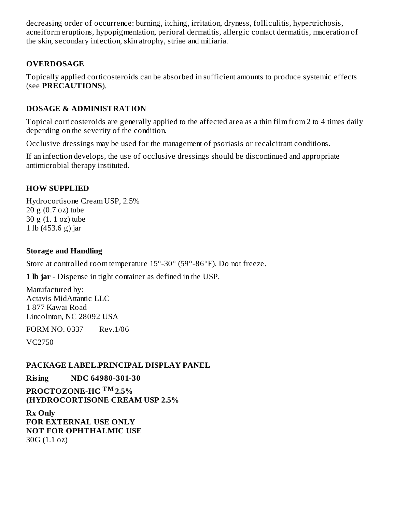decreasing order of occurrence: burning, itching, irritation, dryness, folliculitis, hypertrichosis, acneiform eruptions, hypopigmentation, perioral dermatitis, allergic contact dermatitis, maceration of the skin, secondary infection, skin atrophy, striae and miliaria.

#### **OVERDOSAGE**

Topically applied corticosteroids can be absorbed in sufficient amounts to produce systemic effects (see **PRECAUTIONS**).

#### **DOSAGE & ADMINISTRATION**

Topical corticosteroids are generally applied to the affected area as a thin film from 2 to 4 times daily depending on the severity of the condition.

Occlusive dressings may be used for the management of psoriasis or recalcitrant conditions.

If an infection develops, the use of occlusive dressings should be discontinued and appropriate antimicrobial therapy instituted.

#### **HOW SUPPLIED**

Hydrocortisone Cream USP, 2.5% g (0.7 oz) tube g (1. 1 oz) tube lb (453.6 g) jar

#### **Storage and Handling**

Store at controlled room temperature 15°-30° (59°-86°F). Do not freeze.

**1 lb jar** - Dispense in tight container as defined in the USP.

Manufactured by: Actavis MidAttantic LLC 1 877 Kawai Road Lincolnton, NC 28092 USA

FORM NO. 0337 Rev.1/06

VC2750

#### **PACKAGE LABEL.PRINCIPAL DISPLAY PANEL**

**Rising NDC 64980-301-30**

**PROCTOZONE-HC 2.5% TM(HYDROCORTISONE CREAM USP 2.5%**

**Rx Only FOR EXTERNAL USE ONLY NOT FOR OPHTHALMIC USE** 30G (1.1 oz)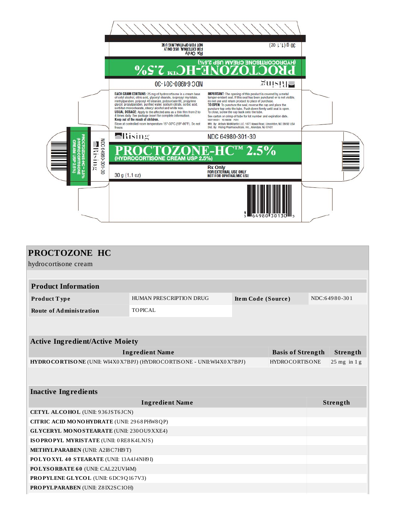

| <b>PROCTOZONE HC</b>                                                                          |                                |                    |  |               |                  |  |  |  |  |  |
|-----------------------------------------------------------------------------------------------|--------------------------------|--------------------|--|---------------|------------------|--|--|--|--|--|
| hydrocortisone cream                                                                          |                                |                    |  |               |                  |  |  |  |  |  |
|                                                                                               |                                |                    |  |               |                  |  |  |  |  |  |
| <b>Product Information</b>                                                                    |                                |                    |  |               |                  |  |  |  |  |  |
| Product Type                                                                                  | <b>HUMAN PRESCRIPTION DRUG</b> | Item Code (Source) |  | NDC:64980-301 |                  |  |  |  |  |  |
| <b>Route of Administration</b>                                                                | <b>TOPICAL</b>                 |                    |  |               |                  |  |  |  |  |  |
|                                                                                               |                                |                    |  |               |                  |  |  |  |  |  |
|                                                                                               |                                |                    |  |               |                  |  |  |  |  |  |
| <b>Active Ingredient/Active Moiety</b>                                                        |                                |                    |  |               |                  |  |  |  |  |  |
| <b>Ingredient Name</b><br><b>Basis of Strength</b>                                            |                                |                    |  |               | Strength         |  |  |  |  |  |
| HYDROCORTISONE (UNII: WI4X0X7BPJ) (HYDROCORTISONE - UNII:WI4X0X7BPJ)<br><b>HYDROCORTISONE</b> |                                |                    |  |               | $25$ mg in $1$ g |  |  |  |  |  |
|                                                                                               |                                |                    |  |               |                  |  |  |  |  |  |
| <b>Inactive Ingredients</b>                                                                   |                                |                    |  |               |                  |  |  |  |  |  |
| <b>Ingredient Name</b>                                                                        |                                |                    |  |               | Strength         |  |  |  |  |  |
| CETYL ALCOHOL (UNII: 936JST6JCN)                                                              |                                |                    |  |               |                  |  |  |  |  |  |
| CITRIC ACID MONOHYDRATE (UNII: 2968PHW8QP)                                                    |                                |                    |  |               |                  |  |  |  |  |  |
| <b>GLYCERYL MONOSTEARATE (UNII: 230 OU9 XXE4)</b>                                             |                                |                    |  |               |                  |  |  |  |  |  |
| ISOPROPYL MYRISTATE (UNII: 0RE8K4LNJS)                                                        |                                |                    |  |               |                  |  |  |  |  |  |
| METHYLPARABEN (UNII: A218 C7H19T)                                                             |                                |                    |  |               |                  |  |  |  |  |  |
| POLYOXYL 40 STEARATE (UNII: 13A4J4NH9I)                                                       |                                |                    |  |               |                  |  |  |  |  |  |
| POLYSORBATE 60 (UNII: CAL22UVI4M)                                                             |                                |                    |  |               |                  |  |  |  |  |  |
| <b>PROPYLENE GLYCOL (UNII: 6DC9Q167V3)</b>                                                    |                                |                    |  |               |                  |  |  |  |  |  |
| <b>PROPYLPARABEN (UNII: Z8IX2SC1OH)</b>                                                       |                                |                    |  |               |                  |  |  |  |  |  |